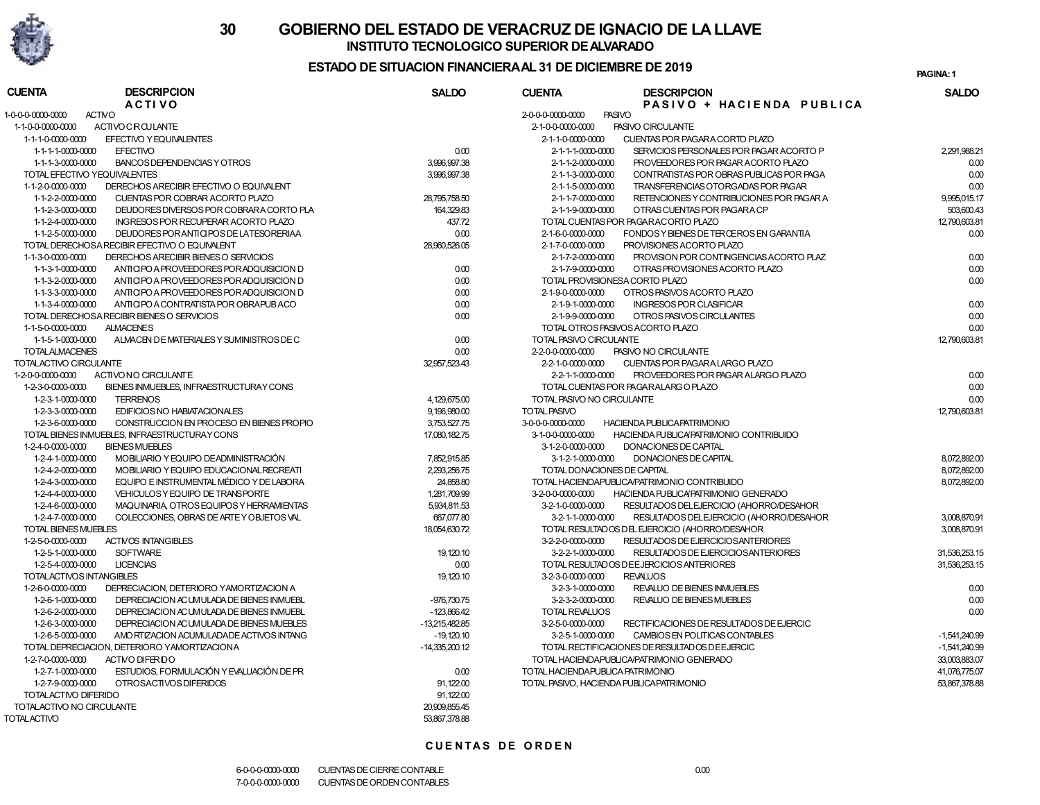

## INSTITUTO TECNOLOGICO SUPERIOR DE ALVARADO 30 GOBIERNO DEL ESTADO DE VERACRUZ DE IGNACIO DE LA LLAVE

### ESTADO DE SITUACION FINANCIERA AL 31 DE DICIEMBRE DE 2019

PAGINA: 1

| <b>CUENTA</b>                      | <b>DESCRIPCION</b>                            | <b>SALDO</b>     | <b>CUENTA</b>                     | <b>DESCRIPCION</b>                              | <b>SALDO</b>    |
|------------------------------------|-----------------------------------------------|------------------|-----------------------------------|-------------------------------------------------|-----------------|
|                                    | <b>ACTIVO</b>                                 |                  |                                   | PASIVO + HACIENDA PUBLICA                       |                 |
| <b>ACTIVO</b><br>1-0-0-0-0000-0000 |                                               |                  | 2-0-0-0-0000-0000                 | <b>PASIVO</b>                                   |                 |
| 1-1-0-0-0000-0000                  | ACTIVOCROULANTE                               |                  | 2-1-0-0-0000-0000                 | PASIVO CIRCULANTE                               |                 |
| 1-1-1-0-0000-0000                  | EFECTIVO Y EQUIVALENTES                       |                  | 2-1-1-0-0000-0000                 | CUENTAS POR PAGARA CORTO PLAZO                  |                 |
| 1-1-1-1-0000-0000                  | <b>EFECTIVO</b>                               | 0.00             | 2-1-1-1-0000-0000                 | SERVICIOS PERSONALES POR PAGAR ACORTO P         | 2,291,988.21    |
| 1-1-1-3-0000-0000                  | BANCOS DEPENDENCIAS Y OTROS                   | 3,996,997.38     | 2-1-1-2-0000-0000                 | PROVEEDORES POR PAGAR ACORTO PLAZO              | 0.00            |
| TOTAL EFECTIVO YEQUIVALENTES       |                                               | 3,996,997.38     | 2-1-1-3-0000-0000                 | CONTRATISTAS POR OBRAS PUBLICAS POR PAGA        | 0.00            |
| 1-1-2-0-0000-0000                  | DERECHOS ARECIBIR EFECTIVO O EQUIVALENT       |                  | 2-1-1-5-0000-0000                 | TRANSFERENCIAS OTORGADAS POR PAGAR              | 0.00            |
| 1-1-2-2-0000-0000                  | CUENTAS POR COBRAR ACORTO PLAZO               | 28,795,758.50    | 2-1-1-7-0000-0000                 | RETENCIONES Y CONTRIBUCIONES POR PAGAR A        | 9.995.015.17    |
| 1-1-2-3-0000-0000                  | DEUDORES DIVERSOS POR COBRARA CORTO PLA       | 164,329.83       | 2-1-1-9-0000-0000                 | OTRAS CUENTAS POR PAGARA CP                     | 503,600.43      |
| 1-1-2-4-0000-0000                  | INGRESOS POR RECUPERAR ACORTO PLAZO           | 437.72           |                                   | TOTAL CUENTAS POR PAGARACORTO PLAZO             | 12,790,603.81   |
| 1-1-2-5-0000-0000                  | DEUDORES POR ANTICIPOS DE LATESORERIAA        | 0.00             | 2-1-6-0-0000-0000                 | FONDOS Y BIENES DE TERCEROS EN GARANTIA         | 0.00            |
|                                    | TOTAL DERECHOSA RECIBIR EFECTIVO O EQUIVALENT | 28,960,526.05    | 2-1-7-0-0000-0000                 | PROVISIONES ACORTO PLAZO                        |                 |
| 1-1-3-0-0000-0000                  | DERECHOS ARECIBIR BIENES O SERVICIOS          |                  | 2-1-7-2-0000-0000                 | PROVISION POR CONTINGENCIAS ACORTO PLAZ         | 0.00            |
| 1-1-3-1-0000-0000                  | ANTICIPO A PROVEEDORES POR ADQUISICION D      | 0.00             | 2-1-7-9-0000-0000                 | OTRAS PROVISIONES ACORTO PLAZO                  | 0.00            |
| 1-1-3-2-0000-0000                  | ANTICIPO A PROVEEDORES POR ADQUISICION D      | 0.00             |                                   | TOTAL PROVISIONESA CORTO PLAZO                  | 0.00            |
| 1-1-3-3-0000-0000                  | ANTICIPO A PROVEEDORES POR ADQUISICION D      | 0.00             | 2-1-9-0-0000-0000                 | OTROS PASIVOS ACORTO PLAZO                      |                 |
| 1-1-3-4-0000-0000                  | ANTICIPO A CONTRATISTA POR OBRAPUBACO         | 0.00             | 2-1-9-1-0000-0000                 | <b>INGRESOS POR CLASIFICAR</b>                  | 0.00            |
|                                    | TOTAL DERECHOSA RECIBIR BIENES O SERVICIOS    | 0.00             | 2-1-9-9-0000-0000                 | OTROS PASIVOS CIRCULANTES                       | 0.00            |
| 1-1-5-0-0000-0000                  | <b>ALMACENES</b>                              |                  |                                   | TOTAL OTROS PASIVOS ACORTO PLAZO                | 0.00            |
| 1-1-5-1-0000-0000                  | ALMACEN DE MATERIALES Y SUMINISTROS DE C      | 0.00             | TOTAL PASIVO CIRCULANTE           |                                                 | 12,790,603.81   |
| <b>TOTALALMACENES</b>              |                                               | 0.00             | 2-2-0-0-0000-0000                 | PASIVO NO CIRCULANTE                            |                 |
| TOTALACTIVO CIRCULANTE             |                                               | 32,957,523.43    | 2-2-1-0-0000-0000                 | CUENTAS POR PAGARA LARGO PLAZO                  |                 |
| 1-2-0-0-0000-0000                  | ACTIVONO CIRCULANTE                           |                  | 2-2-1-1-0000-0000                 | PROVEEDORES POR PAGAR ALARGO PLAZO              | 0.00            |
| 1-2-3-0-0000-0000                  | BIENES INMUEBLES, INFRAESTRUCTURAY CONS       |                  |                                   | TOTAL CUENTAS POR PAGARALARG O PLAZO            | 0.00            |
| 1-2-3-1-0000-0000                  | <b>TERRENOS</b>                               | 4,129,675.00     | TOTAL PASIVO NO CIRCULANTE        |                                                 | 0.00            |
| 1-2-3-3-0000-0000                  | <b>EDIFICIOS NO HABIATACIONALES</b>           | 9,196,980.00     | <b>TOTAL PASIVO</b>               |                                                 | 12,790,603.81   |
| 1-2-3-6-0000-0000                  | CONSTRUCCION EN PROCESO EN BIENES PROPIO      | 3,753,527.75     | 3-0-0-0-0000-0000                 | HACIENDA PUBLICAPATRIMONIO                      |                 |
|                                    | TOTAL BIENES INMUEBLES, INFRAESTRUCTURAY CONS | 17,080,182.75    | 3-1-0-0-0000-0000                 | HACIENDA PUBLICAPATRIMONIO CONTRIBUIDO          |                 |
| 1-2-4-0-0000-0000                  | <b>BIENES MUEBLES</b>                         |                  | 3-1-2-0-0000-0000                 | DONACIONES DE CAPITAL                           |                 |
| 1-2-4-1-0000-0000                  | MOBILIARIO Y EQUIPO DE ADMINISTRACIÓN         | 7,852,915.85     | 3-1-2-1-0000-0000                 | DONACIONES DE CAPITAL                           | 8.072.892.00    |
| 1-2-4-2-0000-0000                  | MOBILIARIO Y EQUIPO EDUCACIONAL RECREATI      | 2,293,256.75     |                                   | TOTAL DONACIONES DE CAPITAL                     | 8,072,892.00    |
| 1-2-4-3-0000-0000                  | EQUIPO E INSTRUMENTAL MÉDICO Y DE LABORA      | 24,858.80        |                                   | TOTAL HACIENDAPUBLICA/PATRIMONIO CONTRIBUIDO    | 8,072,892.00    |
| 1-2-4-4-0000-0000                  | VEHICULOS Y EQUIPO DE TRANSPORTE              | 1,281,709.99     | 3-2-0-0-0000-0000                 | HACIENDA PUBLICA PATRIMONIO GENERADO            |                 |
| 1-2-4-6-0000-0000                  | MAQUINARIA, OTROS EQUIPOS Y HERRAMIENTAS      | 5,934,811.53     | 3-2-1-0-0000-0000                 | RESULTADOS DEL EJERCICIO (AHORRO/DESAHOR        |                 |
| 1-2-4-7-0000-0000                  | COLECCIONES, OBRAS DE ARTEY OBJETOS VAL       | 667,077.80       | 3-2-1-1-0000-0000                 | RESULTADOS DEL EJERCICIO (AHORRO/DESAHOR        | 3,008,870.91    |
| <b>TOTAL BIENES MUEBLES</b>        |                                               | 18,054,630.72    |                                   | TOTAL RESULTADOS DEL EJERCICIO (AHORRO/DESAHOR  | 3,008,870.91    |
| 1-2-5-0-0000-0000                  | <b>ACTIVOS INTANGIBLES</b>                    |                  | 3-2-2-0-0000-0000                 | RESULTADOS DE EJERCICIOS ANTERIORES             |                 |
| 1-2-5-1-0000-0000                  | <b>SOFTWARE</b>                               | 19,120.10        | 3-2-2-1-0000-0000                 | RESULTADOS DE EJERCICIOS ANTERIORES             | 31,536,253.15   |
| 1-2-5-4-0000-0000                  | <b>LICENCIAS</b>                              | 0.00             |                                   | TOTAL RESULTADOS DE EJERCICIOS ANTERIORES       | 31.536.253.15   |
| TOTALACTIVOS INTANGIBLES           |                                               | 19,120.10        | 3-2-3-0-0000-0000                 | <b>REVALUOS</b>                                 |                 |
| 1-2-6-0-0000-0000                  | DEPRECIACION, DETERIORO YAMORTIZACION A       |                  | 3-2-3-1-0000-0000                 | REVALUO DE BIENES INMUEBLES                     | 0.00            |
| 1-2-6-1-0000-0000                  | DEPRECIACION AC UMULADA DE BIENES INMUEBL     | -976,730.75      | 3-2-3-2-0000-0000                 | REVALUO DE BIENES MUEBLES                       | 0.00            |
| 1-2-6-2-0000-0000                  | DEPRECIACION ACUMULADA DE BIENES INMUEBL      | $-123,866.42$    | <b>TOTAL REVALUOS</b>             |                                                 | 0.00            |
| 1-2-6-3-0000-0000                  | DEPRECIACION ACUMULADA DE BIENES MUEBLES      | -13.215.482.85   | 3-2-5-0-0000-0000                 | RECTIFICACIONES DE RESULTADOS DE EJERCIC        |                 |
| 1-2-6-5-0000-0000                  | AMO RTIZACION ACUMULADADE ACTIVOS INTANG      | $-19,120.10$     | 3-2-5-1-0000-0000                 | CAMBIOS EN POLITICAS CONTABLES                  | $-1,541,240.99$ |
|                                    | TOTAL DEPRECIACION. DETERIORO YAMORTIZACIONA  | $-14,335,200.12$ |                                   | TO TAL RECTIFICACIONES DE RESULTADOS DE EJERCIC | -1.541.240.99   |
| 1-2-7-0-0000-0000                  | ACTMO DIFERIDO                                |                  |                                   | TOTAL HACIENDAPUBLICA/PATRIMONIO GENERADO       | 33,003,883.07   |
| 1-2-7-1-0000-0000                  | ESTUDIOS. FORMULACIÓN Y EVALUACIÓN DE PR      | 0.00             | TOTAL HACIENDA PUBLICA PATRIMONIO |                                                 | 41.076.775.07   |
| 1-2-7-9-0000-0000                  | OTROSACTIVOS DIFERIDOS                        | 91,122.00        |                                   | TOTAL PASIVO, HACIENDA PUBLICA PATRIMONIO       | 53,867,378.88   |
| TOTALACTIVO DIFERIDO               |                                               | 91,122.00        |                                   |                                                 |                 |
| TOTALACTIVO NO CIRCULANTE          |                                               | 20,909,855.45    |                                   |                                                 |                 |
| TOTAL ACTIVO                       |                                               | 53.867.378.88    |                                   |                                                 |                 |

#### **CUENTAS DE ORDEN**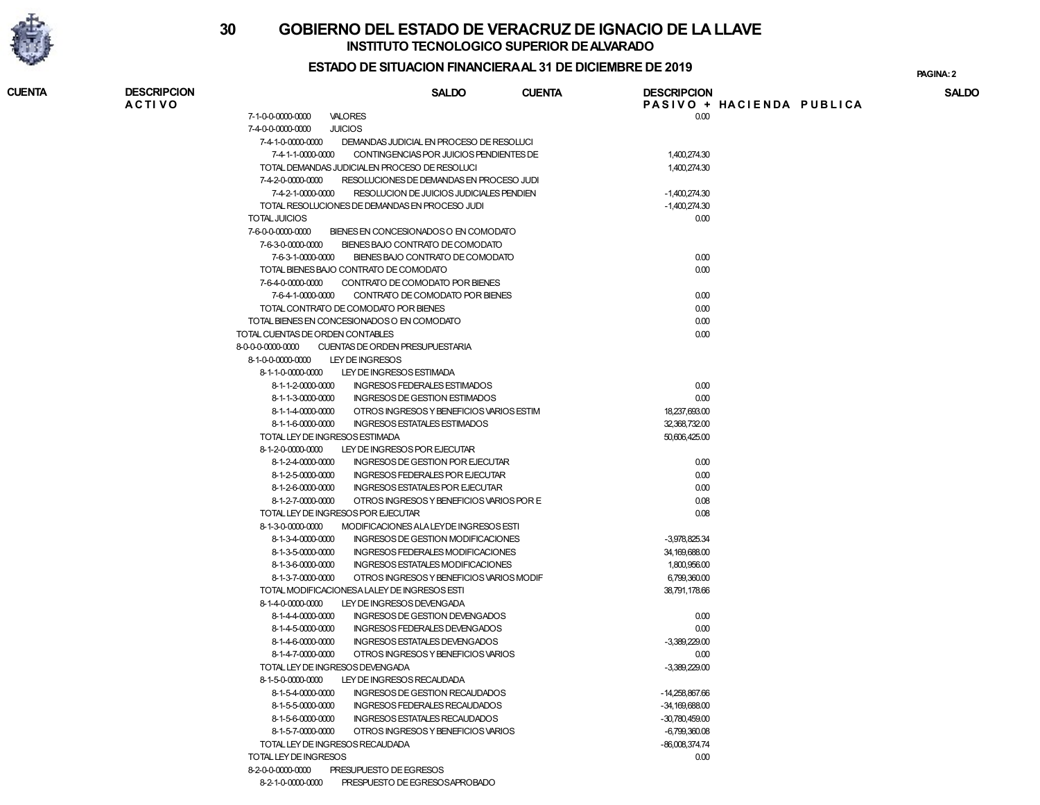

# INSTITUTO TECNOLOGICO SUPERIOR DE ALVARADO 30 GOBIERNO DEL ESTADO DE VERACRUZ DE IGNACIO DE LA LLAVE

## ESTADO DE SITUACION FINANCIERA AL 31 DE DICIEMBRE DE 2019

PAGINA:

| <b>CUENTA</b> | <b>DESCRIPCION</b><br><b>ACTIVO</b> |                                                                   | <b>SALDO</b>                             | <b>CUENTA</b> | <b>DESCRIPCION</b>            | PASIVO + HACIENDA PUBLICA | <b>SALDO</b> |
|---------------|-------------------------------------|-------------------------------------------------------------------|------------------------------------------|---------------|-------------------------------|---------------------------|--------------|
|               |                                     | 7-1-0-0-0000-0000<br><b>VALORES</b>                               |                                          |               | 0.00                          |                           |              |
|               |                                     | <b>JUICIOS</b><br>7-4-0-0-0000-0000                               |                                          |               |                               |                           |              |
|               |                                     | 7-4-1-0-0000-0000                                                 | DEMANDAS JUDICIAL EN PROCESO DE RESOLUCI |               |                               |                           |              |
|               |                                     | 7-4-1-1-0000-0000                                                 | CONTINGENCIAS POR JUICIOS PENDIENTES DE  |               | 1,400,274.30                  |                           |              |
|               |                                     | TOTAL DEMANDAS JUDICIALEN PROCESO DE RESOLUCI                     |                                          |               | 1,400,274.30                  |                           |              |
|               |                                     | 7-4-2-0-0000-0000                                                 | RESOLUCIONES DE DEMANDAS EN PROCESO JUDI |               |                               |                           |              |
|               |                                     | 7-4-2-1-0000-0000                                                 | RESOLUCION DE JUICIOS JUDICIALES PENDIEN |               | $-1,400,274.30$               |                           |              |
|               |                                     | TOTAL RESOLUCIONES DE DEMANDAS EN PROCESO JUDI                    |                                          |               | $-1,400,274.30$               |                           |              |
|               |                                     | TOTAL JUICIOS                                                     |                                          |               | 0.00                          |                           |              |
|               |                                     | 7-6-0-0-0000-0000                                                 | BIENES EN CONCESIONADOS O EN COMODATO    |               |                               |                           |              |
|               |                                     | 7-6-3-0-0000-0000                                                 | BIENES BAJO CONTRATO DE COMODATO         |               |                               |                           |              |
|               |                                     | 7-6-3-1-0000-0000                                                 | BIENES BAJO CONTRATO DE COMODATO         |               | 0.00                          |                           |              |
|               |                                     | TOTAL BIENES BAJO CONTRATO DE COMODATO                            |                                          |               | 0.00                          |                           |              |
|               |                                     | 7-6-4-0-0000-0000                                                 | CONTRATO DE COMODATO POR BIENES          |               |                               |                           |              |
|               |                                     | 7-6-4-1-0000-0000                                                 | CONTRATO DE COMODATO POR BIENES          |               | 0.00                          |                           |              |
|               |                                     | TOTAL CONTRATO DE COMODATO POR BIENES                             |                                          |               | 0.00                          |                           |              |
|               |                                     | TOTAL BIENES EN CONCESIONADOS O EN COMODATO                       |                                          |               | 0.00                          |                           |              |
|               |                                     | TOTAL CUENTAS DE ORDEN CONTABLES                                  |                                          |               | 0.00                          |                           |              |
|               |                                     | 8-0-0-0-0000-0000<br>CUENTAS DE ORDEN PRESUPUESTARIA              |                                          |               |                               |                           |              |
|               |                                     | 8-1-0-0-0000-0000<br>LEY DE INGRESOS                              |                                          |               |                               |                           |              |
|               |                                     | 8-1-1-0-0000-0000                                                 | LEY DE INGRESOS ESTIMADA                 |               |                               |                           |              |
|               |                                     | 8-1-1-2-0000-0000                                                 | <b>INGRESOS FEDERALES ESTIMADOS</b>      |               | 0.00                          |                           |              |
|               |                                     | 8-1-1-3-0000-0000                                                 | INGRESOS DE GESTION ESTIMADOS            |               | 0.00                          |                           |              |
|               |                                     | 8-1-1-4-0000-0000                                                 | OTROS INGRESOS Y BENEFICIOS VARIOS ESTIM |               | 18,237,693.00                 |                           |              |
|               |                                     | 8-1-1-6-0000-0000                                                 | <b>INGRESOS ESTATALES ESTIMADOS</b>      |               | 32,368,732.00                 |                           |              |
|               |                                     | TOTAL LEY DE INGRESOS ESTIMADA                                    |                                          |               | 50,606,425.00                 |                           |              |
|               |                                     | 8-1-2-0-0000-0000                                                 | LEY DE INGRESOS POR EJECUTAR             |               |                               |                           |              |
|               |                                     | 8-1-2-4-0000-0000                                                 | INGRESOS DE GESTION POR EJECUTAR         |               | 0.00                          |                           |              |
|               |                                     | 8-1-2-5-0000-0000                                                 | INGRESOS FEDERALES POR EJECUTAR          |               | 0.00                          |                           |              |
|               |                                     | 8-1-2-6-0000-0000                                                 | INGRESOS ESTATALES POR EJECUTAR          |               | 0.00                          |                           |              |
|               |                                     | 8-1-2-7-0000-0000                                                 | OTROS INGRESOS Y BENEFICIOS VARIOS POR E |               | 0.08                          |                           |              |
|               |                                     | TOTAL LEY DE INGRESOS POR EJECUTAR                                |                                          |               | 0.08                          |                           |              |
|               |                                     | 8-1-3-0-0000-0000                                                 | MODIFICACIONES ALA LEYDE INGRESOS ESTI   |               |                               |                           |              |
|               |                                     | 8-1-3-4-0000-0000                                                 | INGRESOS DE GESTION MODIFICACIONES       |               | -3,978,825.34                 |                           |              |
|               |                                     | 8-1-3-5-0000-0000                                                 | INGRESOS FEDERALES MODIFICACIONES        |               | 34,169,688.00                 |                           |              |
|               |                                     | 8-1-3-6-0000-0000                                                 | INGRESOS ESTATALES MODIFICACIONES        |               | 1,800,956.00                  |                           |              |
|               |                                     | 8-1-3-7-0000-0000<br>TOTAL MODIFICACIONESA LALEY DE INGRESOS ESTI | OTROS INGRESOS Y BENEFICIOS VARIOS MODIF |               | 6,799,360.00<br>38,791,178.66 |                           |              |
|               |                                     | 8-1-4-0-0000-0000                                                 | LEY DE INGRESOS DEVENGADA                |               |                               |                           |              |
|               |                                     | 8-1-4-4-0000-0000                                                 | INGRESOS DE GESTION DEVENGADOS           |               | 0.00                          |                           |              |
|               |                                     | 8-1-4-5-0000-0000                                                 | INGRESOS FEDERALES DEVENGADOS            |               | 0.00                          |                           |              |
|               |                                     | 8-1-4-6-0000-0000                                                 | <b>INGRESOS ESTATALES DEVENGADOS</b>     |               | $-3,389,229.00$               |                           |              |
|               |                                     | 8-1-4-7-0000-0000                                                 | OTROS INGRESOS Y BENEFICIOS VARIOS       |               | 0.00                          |                           |              |
|               |                                     | TOTAL LEY DE INGRESOS DEVENGADA                                   |                                          |               | $-3.389.229.00$               |                           |              |
|               |                                     | 8-1-5-0-0000-0000                                                 | LEY DE INGRESOS RECAUDADA                |               |                               |                           |              |
|               |                                     | 8-1-5-4-0000-0000                                                 | INGRESOS DE GESTION RECAUDADOS           |               | $-14,258,867.66$              |                           |              |
|               |                                     | 8-1-5-5-0000-0000                                                 | INGRESOS FEDERALES RECAUDADOS            |               | $-34,169,688.00$              |                           |              |
|               |                                     | 8-1-5-6-0000-0000                                                 | INGRESOS ESTATALES RECAUDADOS            |               | $-30,780,459.00$              |                           |              |
|               |                                     | 8-1-5-7-0000-0000                                                 | OTROS INGRESOS Y BENEFICIOS VARIOS       |               | $-6,799,360.08$               |                           |              |
|               |                                     | TOTAL LEY DE INGRESOS RECAUDADA                                   |                                          |               | $-86,008,374.74$              |                           |              |
|               |                                     | TOTAL LEY DE INGRESOS                                             |                                          |               | 0.00                          |                           |              |
|               |                                     | 8-2-0-0-0000-0000<br>PRESUPUESTO DE EGRESOS                       |                                          |               |                               |                           |              |
|               |                                     | 8-2-1-0-0000-0000 PRESPUESTO DE EGRESOSAPROBADO                   |                                          |               |                               |                           |              |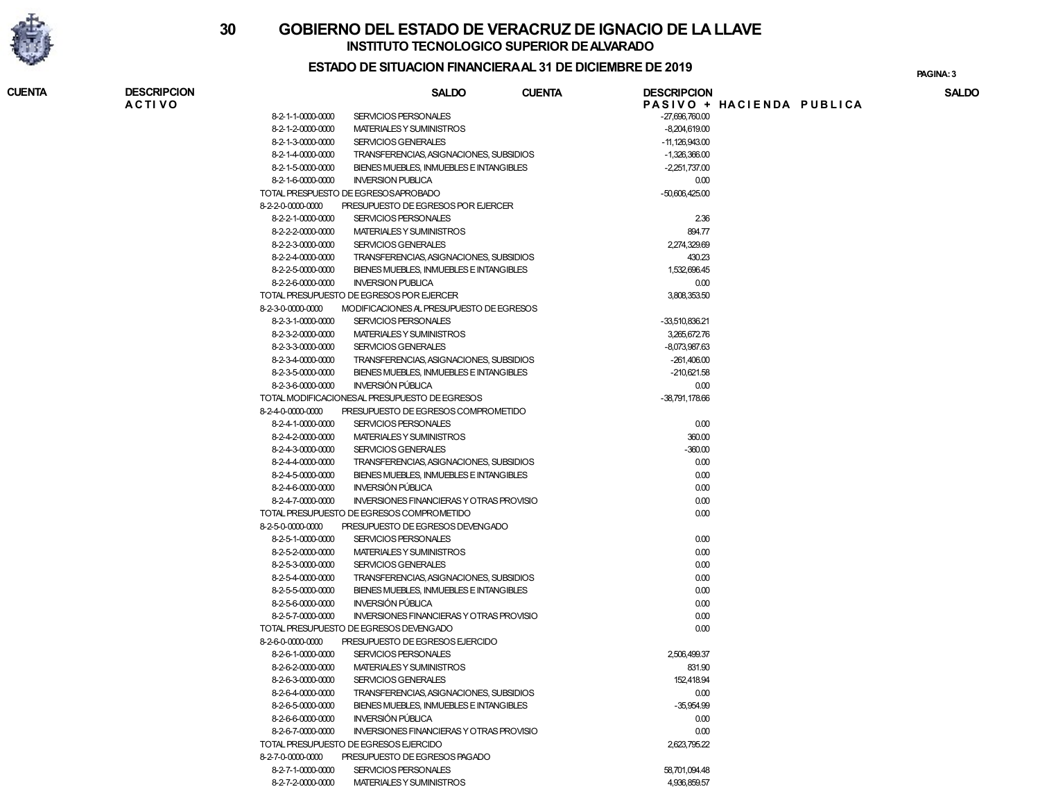

**CUENTA** 

# INSTITUTO TECNOLOGICO SUPERIOR DE ALVARADO 30 GOBIERNO DEL ESTADO DE VERACRUZ DE IGNACIO DE LA LLAVE

## ESTADO DE SITUACION FINANCIERA AL 31 DE DICIEMBRE DE 2019

PAGINA:

| <b>DESCRIPCION</b> |                   | <b>SALDO</b>                                    | <b>CUENTA</b> | <b>DESCRIPCION</b> |                           | <b>SALDO</b> |
|--------------------|-------------------|-------------------------------------------------|---------------|--------------------|---------------------------|--------------|
| <b>ACTIVO</b>      |                   |                                                 |               |                    | PASIVO + HACIENDA PUBLICA |              |
|                    | 8-2-1-1-0000-0000 | SERVICIOS PERSONALES                            |               | $-27,696,760.00$   |                           |              |
|                    | 8-2-1-2-0000-0000 | MATERIALES Y SUMINISTROS                        |               | $-8,204,619.00$    |                           |              |
|                    | 8-2-1-3-0000-0000 | SERVICIOS GENERALES                             |               | $-11,126,943.00$   |                           |              |
|                    | 8-2-1-4-0000-0000 | TRANSFERENCIAS, ASIGNACIONES, SUBSIDIOS         |               | $-1,326,366.00$    |                           |              |
|                    | 8-2-1-5-0000-0000 | BIENES MUEBLES, INMUEBLES E INTANGIBLES         |               | $-2,251,737.00$    |                           |              |
|                    | 8-2-1-6-0000-0000 | <b>INVERSION PUBLICA</b>                        |               | 0.00               |                           |              |
|                    |                   | TOTAL PRESPUESTO DE EGRESOSAPROBADO             |               | $-50,606,425.00$   |                           |              |
|                    | 8-2-2-0-0000-0000 | PRESUPUESTO DE EGRESOS POR EJERCER              |               |                    |                           |              |
|                    | 8-2-2-1-0000-0000 | SERVICIOS PERSONALES                            |               | 2.36               |                           |              |
|                    | 8-2-2-2-0000-0000 | MATERIALES Y SUMINISTROS                        |               | 894.77             |                           |              |
|                    | 8-2-2-3-0000-0000 | SERVICIOS GENERALES                             |               | 2,274,329.69       |                           |              |
|                    | 8-2-2-4-0000-0000 | TRANSFERENCIAS, ASIGNACIONES, SUBSIDIOS         |               | 430.23             |                           |              |
|                    | 8-2-2-5-0000-0000 | BIENES MUEBLES, INMUEBLES E INTANGIBLES         |               | 1,532,696.45       |                           |              |
|                    | 8-2-2-6-0000-0000 | <b>INVERSION PUBLICA</b>                        |               | 0.00               |                           |              |
|                    |                   | TOTAL PRESUPUESTO DE EGRESOS POR EJERCER        |               | 3,808,353.50       |                           |              |
|                    | 8-2-3-0-0000-0000 | MODIFICACIONES AL PRESUPUESTO DE EGRESOS        |               |                    |                           |              |
|                    | 8-2-3-1-0000-0000 | SERVICIOS PERSONALES                            |               | -33,510,836.21     |                           |              |
|                    | 8-2-3-2-0000-0000 | MATERIALES Y SUMINISTROS                        |               | 3,265,672.76       |                           |              |
|                    | 8-2-3-3-0000-0000 | SERVICIOS GENERALES                             |               | -8,073,987.63      |                           |              |
|                    | 8-2-3-4-0000-0000 | TRANSFERENCIAS, ASIGNACIONES, SUBSIDIOS         |               | $-261,406.00$      |                           |              |
|                    | 8-2-3-5-0000-0000 | BIENES MUEBLES, INMUEBLES E INTANGIBLES         |               | $-210,621.58$      |                           |              |
|                    | 8-2-3-6-0000-0000 | <b>INVERSIÓN PÚBLICA</b>                        |               | 0.00               |                           |              |
|                    |                   | TOTAL MODIFICACIONESAL PRESUPUESTO DE EGRESOS   |               | -38,791,178.66     |                           |              |
|                    | 8-2-4-0-0000-0000 | PRESUPUESTO DE EGRESOS COMPROMETIDO             |               |                    |                           |              |
|                    | 8-2-4-1-0000-0000 | SERVICIOS PERSONALES                            |               | 0.00               |                           |              |
|                    | 8-2-4-2-0000-0000 | MATERIALES Y SUMINISTROS                        |               | 360.00             |                           |              |
|                    | 8-2-4-3-0000-0000 | SERVICIOS GENERALES                             |               | $-360.00$          |                           |              |
|                    | 8-2-4-4-0000-0000 | TRANSFERENCIAS, ASIGNACIONES, SUBSIDIOS         |               | 0.00               |                           |              |
|                    | 8-2-4-5-0000-0000 | BIENES MUEBLES, INMUEBLES E INTANGIBLES         |               | 0.00               |                           |              |
|                    | 8-2-4-6-0000-0000 | INVERSIÓN PÚBLICA                               |               | 0.00               |                           |              |
|                    | 8-2-4-7-0000-0000 | <b>INVERSIONES FINANCIERAS Y OTRAS PROVISIO</b> |               | 0.00               |                           |              |
|                    |                   | TOTAL PRESUPUESTO DE EGRESOS COMPROMETIDO       |               | 0.00               |                           |              |
|                    | 8-2-5-0-0000-0000 | PRESUPUESTO DE EGRESOS DEVENGADO                |               |                    |                           |              |
|                    | 8-2-5-1-0000-0000 | SERVICIOS PERSONALES                            |               | 0.00               |                           |              |
|                    | 8-2-5-2-0000-0000 | MATERIALES Y SUMINISTROS                        |               | 0.00               |                           |              |
|                    | 8-2-5-3-0000-0000 | <b>SERVICIOS GENERALES</b>                      |               | 0.00               |                           |              |
|                    | 8-2-5-4-0000-0000 | TRANSFERENCIAS, ASIGNACIONES, SUBSIDIOS         |               | 0.00               |                           |              |
|                    | 8-2-5-5-0000-0000 | BIENES MUEBLES, INMUEBLES E INTANGIBLES         |               | 0.00               |                           |              |
|                    | 8-2-5-6-0000-0000 | <b>INVERSIÓN PÚBLICA</b>                        |               | 0.00               |                           |              |
|                    | 8-2-5-7-0000-0000 | <b>INVERSIONES FINANCIERAS Y OTRAS PROVISIO</b> |               | 0.00               |                           |              |
|                    |                   | TOTAL PRESUPUESTO DE EGRESOS DEVENGADO          |               | 0.00               |                           |              |
|                    | 8-2-6-0-0000-0000 | PRESUPUESTO DE EGRESOS EJERCIDO                 |               |                    |                           |              |
|                    |                   | SERVICIOS PERSONALES                            |               |                    |                           |              |
|                    | 8-2-6-1-0000-0000 |                                                 |               | 2,506,499.37       |                           |              |
|                    | 8-2-6-2-0000-0000 | MATERIALES Y SUMINISTROS                        |               | 831.90             |                           |              |
|                    | 8-2-6-3-0000-0000 | SERVICIOS GENERALES                             |               | 152,418.94         |                           |              |
|                    | 8-2-6-4-0000-0000 | TRANSFERENCIAS, ASIGNACIONES, SUBSIDIOS         |               | 0.00               |                           |              |
|                    | 8-2-6-5-0000-0000 | BIENES MUEBLES. INMUEBLES E INTANGIBLES         |               | $-35,954.99$       |                           |              |
|                    | 8-2-6-6-0000-0000 | <b>INVERSIÓN PÚBLICA</b>                        |               | 0.00               |                           |              |
|                    | 8-2-6-7-0000-0000 | <b>INVERSIONES FINANCIERAS Y OTRAS PROVISIO</b> |               | 0.00               |                           |              |
|                    |                   | TOTAL PRESUPUESTO DE EGRESOS EJERCIDO           |               | 2,623,795.22       |                           |              |
|                    | 8-2-7-0-0000-0000 | PRESUPUESTO DE EGRESOS PAGADO                   |               |                    |                           |              |
|                    | 8-2-7-1-0000-0000 | SERVICIOS PERSONALES                            |               | 58,701,094.48      |                           |              |
|                    | 8-2-7-2-0000-0000 | MATERIALES Y SUMINISTROS                        |               | 4,936,859.57       |                           |              |